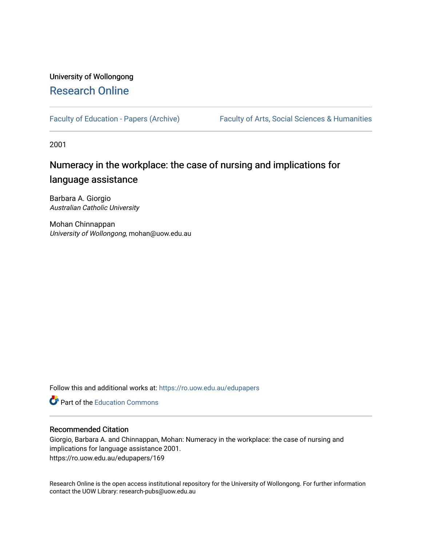#### University of Wollongong [Research Online](https://ro.uow.edu.au/)

[Faculty of Education - Papers \(Archive\)](https://ro.uow.edu.au/edupapers) Faculty of Arts, Social Sciences & Humanities

2001

### Numeracy in the workplace: the case of nursing and implications for language assistance

Barbara A. Giorgio Australian Catholic University

Mohan Chinnappan University of Wollongong, mohan@uow.edu.au

Follow this and additional works at: [https://ro.uow.edu.au/edupapers](https://ro.uow.edu.au/edupapers?utm_source=ro.uow.edu.au%2Fedupapers%2F169&utm_medium=PDF&utm_campaign=PDFCoverPages) 

**C** Part of the [Education Commons](http://network.bepress.com/hgg/discipline/784?utm_source=ro.uow.edu.au%2Fedupapers%2F169&utm_medium=PDF&utm_campaign=PDFCoverPages)

#### Recommended Citation

Giorgio, Barbara A. and Chinnappan, Mohan: Numeracy in the workplace: the case of nursing and implications for language assistance 2001. https://ro.uow.edu.au/edupapers/169

Research Online is the open access institutional repository for the University of Wollongong. For further information contact the UOW Library: research-pubs@uow.edu.au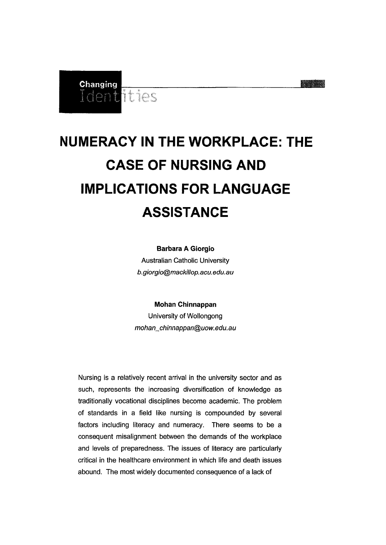

### **Changing**<br>Ident Titles

## **NUMERACY IN THE WORKPLACE: THE CASE OF NURSING AND IMPLICATIONS FOR LANGUAGE ASSISTANCE**

**Barbara A Giorgio**

Australian Catholic University b.giorgio@mackiIJop.acu.edu.au

**Mohan Chinnappan**

University of Wollongong mohan\_chinnappan@uow.edu.au

Nursing is a relatively recent arrival in the university sector and as such, represents the increasing diversification of knowledge as traditionally vocational disciplines become academic. The problem of standards in a field like nursing is compounded by several factors including literacy and numeracy. There seems to be a consequent misalignment between the demands of the workplace and levels of preparedness. The issues of literacy are particularly critical in the healthcare environment in which life and death issues abound. The most widely documented consequence of a lack of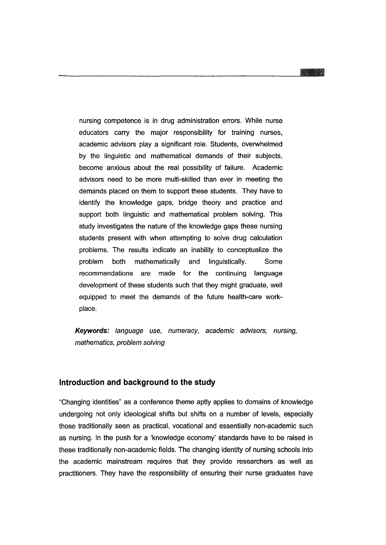nursing competence is in drug administration errors. While nurse educators carry the major responsibility for training nurses, academic advisors play a significant role. Students, overwhelmed by the linguistic and mathematical demands of their subjects, become anxious about the real possibility of failure. Academic advisors need to be more multi-skilled than ever in meeting the demands placed on them to support these students. They have to identify the knowledge gaps, bridge theory and practice and support both linguistic and mathematical problem solving. This study investigates the nature of the knowledge gaps these nursing students present with when attempting to solve drug calculation problems. The results indicate an inability to conceptualize the problem both mathematically and linguistically. Some recommendations are made for the continuing language development of these students such that they might graduate, well equipped to meet the demands of the future health-care workplace.

**Keywords:** language use, numeracy, academic advisors, nursing, mathematics, problem solving

#### **Introduction and background to the study**

"Changing identities" as a conference theme aptly applies to domains of knowledge undergoing not only ideological shifts but shifts on a number of levels, especially those traditionally seen as practical, vocational and essentially non-academic such as nursing. In the push for a 'knowledge economy' standards have to be raised in these traditionally non-academic fields. The changing identity of nursing schools into the academic mainstream requires that they provide researchers as well as practitioners. They have the responsibility of ensuring their nurse graduates have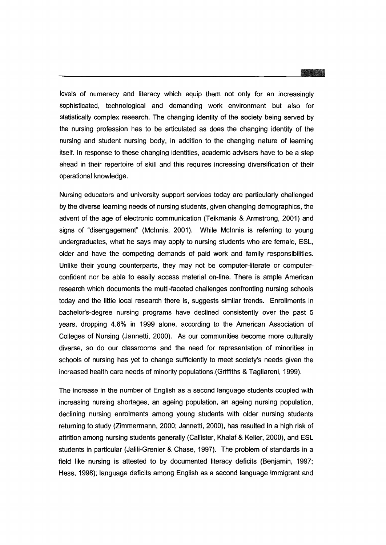\_\_\_\_\_\_\_\_\_\_\_\_\_\_\_\_\_\_\_\_---1\_

levels of numeracy and literacy which equip them not only for an increasingly sophisticated, technological and demanding work environment but also for statistically complex research. The changing identity of the society being served by the nursing profession has to be articulated as does the changing identity of the nursing and student nursing body, in addition to the changing nature of learning itself. In response to these changing identities, academic advisers have to be a step ahead in their repertoire of skill and this requires increasing diversification of their operational knowledge.

Nursing educators and university support services today are particularly challenged by the diverse learning needs of nursing students, given changing demographics, the advent of the age of electronic communication (Teikmanis & Armstrong, 2001) and signs of "disengagement" (Mcinnis, 2001). While Mcinnis is referring to young undergraduates, what he says may apply to nursing students who are female, ESL, older and have the competing demands of paid work and family responsibilities. Unlike their young counterparts, they may not be computer-literate or computerconfident nor be able to easily access material on-line. There is ample American research which documents the multi-faceted challenges confronting nursing schools today and the little local research there is, suggests similar trends. Enrollments in bachelor's-degree nursing programs have declined consistently over the past 5 years, dropping 4.6% in 1999 alone, according to the American Association of Colleges of Nursing (Jannetti, 2000). As our communities become more culturally diverse, so do our classrooms and the need for representation of minorities in schools of nursing has yet to change sufficiently to meet society's needs given the increased health care needs of minority populations.(Griffiths & Tagliareni, 1999).

The increase in the number of English as a second language students coupled with increasing nursing shortages, an ageing population, an ageing nursing population, declining nursing enrolments among young students with older nursing students returning to study (Zimmermann, 2000; Jannetti, 2000), has resulted in a high risk of attrition among nursing students generally (Callister, Khalaf & Keller, 2000), and ESL students in particular (Jalili-Grenier & Chase, 1997). The problem of standards in a field like nursing is attested to by documented literacy deficits (Benjamin, 1997; Hess, 1998); language deficits among English as a second language immigrant and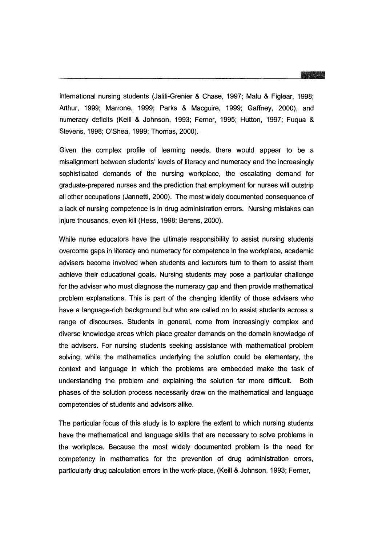international nursing students (Jalili-Grenier & Chase, 1997; Malu & Figlear, 1998; Arthur, 1999; Marrone, 1999; Parks & Macguire, 1999; Gaffney, 2000), and numeracy deficits (Keill & Johnson, 1993; Ferner, 1995; Hutton, 1997; Fuqua & Stevens, 1998; O'Shea, 1999; Thomas, 2000).

Given the complex profile of learning needs, there would appear to be a misalignment between students' levels of literacy and numeracy and the increasingly sophisticated demands of the nursing workplace, the escalating demand for graduate-prepared nurses and the prediction that employment for nurses will outstrip all other occupations (Jannetti, 2000). The most widely documented consequence of a lack of nursing competence is in drug administration errors. Nursing mistakes can injure thousands, even kill (Hess, 1998; Berens, 2000).

While nurse educators have the ultimate responsibility to assist nursing students overcome gaps in literacy and numeracy for competence in the workplace, academic advisers become involved when students and lecturers turn to them to assist them achieve their educational goals. Nursing students may pose a particular challenge for the adviser who must diagnose the numeracy gap and then provide mathematical problem explanations. This is part of the changing identity of those advisers who have a language-rich background but who are called on to assist students across a range of discourses. Students in general, come from increasingly complex and diverse knowledge areas which place greater demands on the domain knowledge of the advisers. For nursing students seeking assistance with mathematical problem solving, while the mathematics underlying the solution could be elementary, the context and language in which the problems are embedded make the task of understanding the problem and explaining the solution far more difficult. Both phases of the solution process necessarily draw on the mathematical and language competencies of students and advisors alike.

The particular focus of this study is to explore the extent to which nursing students have the mathematical and language skills that are necessary to solve problems in the workplace. Because the most widely documented problem is the need for competency in mathematics for the prevention of drug administration errors, particularly drug calculation errors in the work-place, (Keill & Johnson, 1993; Ferner,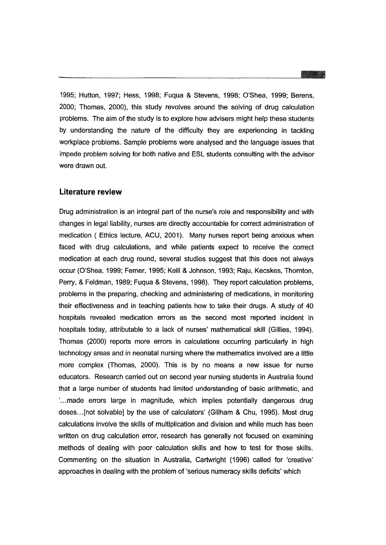**-** 1995; Hutton, 1997; Hess, 1998; Fuqua & Stevens, 1998; O'Shea, 1999; Berens, 2000; Thomas, 2000), this study revolves around the solving of drug calculation problems. The aim of the study is to explore how advisers might help these students by understanding the nature of the difficulty they are experiencing in tackling workplace problems. Sample problems were analysed and the language issues that impede problem solving for both native and ESL students consulting with the advisor were drawn out.

#### **Literature review**

Drug administration is an integral part of the nurse's role and responsibility and with changes in legal liability, nurses are directly accountable for correct administration of medication ( Ethics lecture, ACU, 2001). Many nurses report being anxious when faced with drug calculations, and while patients expect to receive the correct medication at each drug round, several studies suggest that this does not always occur (O'Shea, 1999; Ferner, 1995; Keill & Johnson, 1993; Raju, Kecskes, Thornton, Perry, & Feldman, 1989; Fuqua & Stevens, 1998). They report calculation problems, problems in the preparing, checking and administering of medications, in monitoring their effectiveness and in teaching patients how to take their drugs. A study of 40 hospitals revealed medication errors as the second most reported incident in hospitals today, attributable to a lack of nurses' mathematical skill (Gillies, 1994). Thomas (2000) reports more errors in calculations occurring particularly in high technology areas and in neonatal nursing where the mathematics involved are a little more complex (Thomas, 2000). This is by no means a new issue for nurse educators. Research carried out on second year nursing students in Australia found that a large number of students had limited understanding of basic arithmetic, and '...made errors large in magnitude, which implies potentially dangerous drug doses...[not solvable] by the use of calculators' (Gillham & Chu, 1995). Most drug calculations involve the skills of multiplication and division and while much has been written on drug calculation error, research has generally not focused on examining methods of dealing with poor calculation skills and how to test for those skills. Commenting on the situation in Australia, Cartwright (1996) called for 'creative' approaches in dealing with the problem of 'serious numeracy skills deficits' which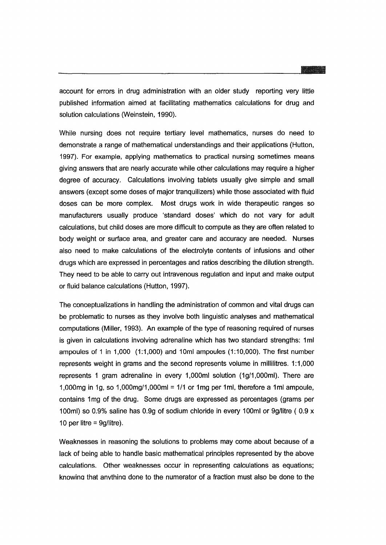account for errors in drug administration with an older study reporting very little published information aimed at facilitating mathematics calculations for drug and solution calculations (Weinstein, 1990).

While nursing does not require tertiary level mathematics, nurses do need to demonstrate a range of mathematical understandings and their applications (Hutton, 1997). For example, applying mathematics to practical nursing sometimes means giving answers that are nearly accurate while other calculations may require a higher degree of accuracy. Calculations involving tablets usually give simple and small answers (except some doses of major tranquilizers) while those associated with fluid doses can be more complex. Most drugs work in wide therapeutic ranges so manufacturers usually produce 'standard doses' which do not vary for adult calculations, but child doses are more difficult to compute as they are often related to body weight or surface area, and greater care and accuracy are needed. Nurses also need to make calculations of the electrolyte contents of infusions and other drugs which are expressed in percentages and ratios describing the dilution strength. They need to be able to carry out intravenous regulation and input and make output or fluid balance calculations (Hutton, 1997).

The conceptualizations in handling the administration of common and vital drugs can be problematic to nurses as they involve both linguistic analyses and mathematical computations (Miller, 1993). An example of the type of reasoning required of nurses is given in calculations involving adrenaline which has two standard strengths: 1ml ampoules of 1 in 1,000 (1:1,000) and 10ml ampoules (1 :10,000). The first number represents weight in grams and the second represents volume in millilitres. 1:1,000 represents 1 gram adrenaline in every 1,000ml solution (1g/1,000ml). There are 1,000mg in 1g, so 1,000mg/1,000ml =  $1/1$  or 1mg per 1ml, therefore a 1ml ampoule, contains 1mg of the drug. Some drugs are expressed as percentages (grams per 100ml) so 0.9% saline has 0.9g of sodium chloride in every 100ml or 9gllitre ( 0.9 x 10 per litre =  $9g/litre$ ).

Weaknesses in reasoning the solutions to problems may come about because of a lack of being able to handle basic mathematical principles represented by the above calculations. Other weaknesses occur in representing calculations as equations; knowina that anvthina done to the numerator of a fraction must also be done to the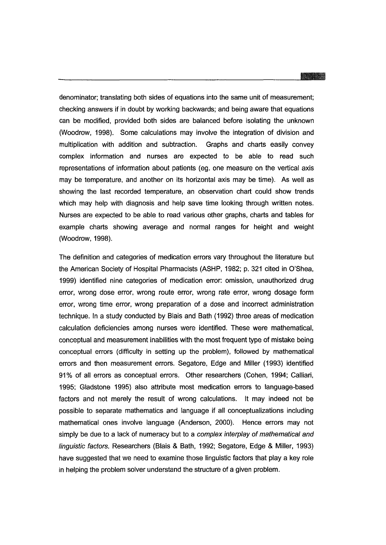# ----------------------

denominator; translating both sides of equations into the same unit of measurement; checking answers if in doubt by working backwards; and being aware that equations can be modified, provided both sides are balanced before isolating the unknown (Woodrow, 1998). Some calculations may involve the integration of division and multiplication with addition and subtraction. Graphs and charts easily convey complex information and nurses are expected to be able to read such representations of information about patients (eg. one measure on the vertical axis may be temperature, and another on its horizontal axis may be time). As well as showing the last recorded temperature, an observation chart could show trends which may help with diagnosis and help save time looking through written notes. Nurses are expected to be able to read various other graphs, charts and tables for example charts showing average and normal ranges for height and weight (Woodrow, 1998).

The definition and categories of medication errors vary throughout the literature but the American Society of Hospital Pharmacists (ASHP, 1982; p. 321 cited in O'Shea, 1999) identified nine categories of medication error: omission, unauthorized drug error, wrong dose error, wrong route error, wrong rate error, wrong dosage form error, wrong time error, wrong preparation of a dose and incorrect administration technique. In a study conducted by Blais and Bath (1992) three areas of medication calculation deficiencies among nurses were identified. These were mathematical, conceptual and measurement inabilities with the most frequent type of mistake being conceptual errors (difficulty in setting up the problem), followed by mathematical errors and then measurement errors. Segatore, Edge and Miller (1993) identified 91 % of all errors as conceptual errors. Other researchers (Cohen, 1994; Calliari, 1995; Gladstone 1995) also attribute most medication errors to language-based factors and not merely the result of wrong calculations. It may indeed not be possible to separate mathematics and language if all conceptualizations including mathematical ones involve language (Anderson, 2000). Hence errors may not simply be due to a lack of numeracy but to a *complex interplay of mathematical and* linguistic factors. Researchers (Blais & Bath, 1992; Segatore, Edge & Miller, 1993) have suggested that we need to examine those linguistic factors that play a key role in helping the problem solver understand the structure of a given problem.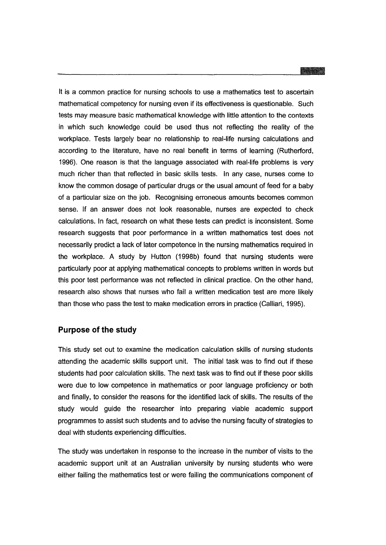------------------------'-

It is a common practice for nursing schools to use a mathematics test to ascertain mathematical competency for nursing even if its effectiveness is questionable. Such tests may measure basic mathematical knowledge with little attention to the contexts in which such knowledge could be used thus not reflecting the reality of the workplace. Tests largely bear no relationship to real-life nursing calculations and according to the literature, have no real benefit in terms of learning (Rutherford, 1996). One reason is that the language associated with real-life problems is very much richer than that reflected in basic skills tests. In any case, nurses come to know the common dosage of particular drugs or the usual amount of feed for a baby of a particular size on the job. Recognising erroneous amounts becomes common sense. If an answer does not look reasonable, nurses are expected to check calculations. In fact, research on what these tests can predict is inconsistent. Some research suggests that poor performance in a written mathematics test does not necessarily predict a lack of later competence in the nursing mathematics required in the workplace. A study by Hutton (1998b) found that nursing students were particularly poor at applying mathematical concepts to problems written in words but this poor test performance was not reflected in clinical practice. On the other hand, research also shows that nurses who fail a written medication test are more likely than those who pass the test to make medication errors in practice (Calliari, 1995).

#### **Purpose of the study**

This study set out to examine the medication calculation skills of nursing students attending the academic skills support unit. The initial task was to find out if these students had poor calculation skills. The next task was to find out if these poor skills were due to low competence in mathematics or poor language proficiency or both and finally, to consider the reasons for the identified lack of skills. The results of the study would guide the researcher into preparing viable academic support programmes to assist such students and to advise the nursing faculty of strategies to deal with students experiencing difficulties.

The study was undertaken in response to the increase in the number of visits to the academic support unit at an Australian university by nursing students who were either failing the mathematics test or were failing the communications component of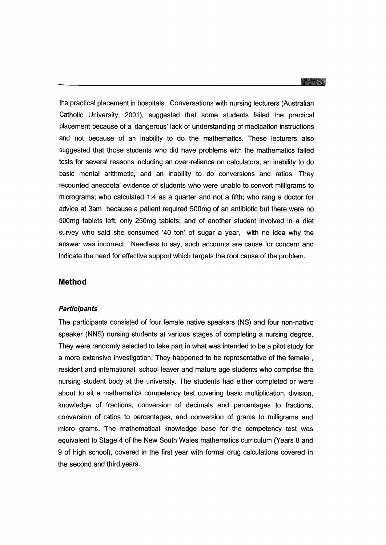the practical placement in hospitals. Conversations with nursing lecturers (Australian Catholic University, 2001), suggested that some students failed the practical placement because of a 'dangerous' lack of understanding of medication instructions and not because of an inability to do the mathematics. These lecturers also suggested that those students who did have problems with the mathematics failed tests for several reasons including an over-reliance on calculators, an inability to do basic mental arithmetic, and an inability to do conversions and ratios. They recounted anecdotal evidence of students who were unable to convert milligrams to micrograms; who calculated 1:4 as a quarter and not a fifth; who rang a doctor for advice at 3am because a patient required 500mg of an antibiotic but there were no 500mg tablets left, only 250mg tablets; and of another student involved in a diet survey who said she consumed '40 ton' of sugar a year, with no idea why the answer was incorrect. Needless to say, such accounts are cause for concern and indicate the need for effective support which targets the root cause of the problem.

#### **Method**

#### **Participants**

The participants consisted of four female native speakers (NS) and four non-native speaker (NNS) nursing students at various stages of completing a nursing degree. They were randomly selected to take part in what was intended to be a pilot study for a more extensive investigation. They happened to be representative of the female , resident and international, school leaver and mature age students who comprise the nursing student body at the university. The students had either completed or were about to sit a mathematics competency test covering basic multiplication, division, knowledge of fractions, conversion of decimals and percentages to fractions, conversion of ratios to percentages, and conversion of grams to milligrams and micro grams. The mathematical knowledge base for the competency test was equivalent to Stage 4 of the New South Wales mathematics curriculum (Years 8 and 9 of high school), covered in the first year with formal drug calculations covered in the second and third years.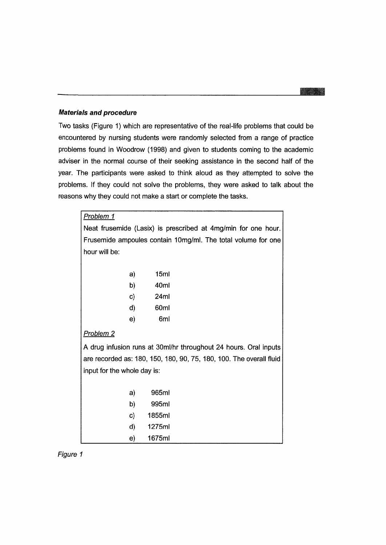#### **Materials and procedure**

Two tasks (Figure 1) which are representative of the real-life problems that could be encountered by nursing students were randomly selected from a range of practice problems found in Woodrow (1998) and given to students coming to the academic adviser in the normal course of their seeking assistance in the second half of the year. The participants were asked to think aloud as they attempted to solve the problems. If they could not solve the problems, they were asked to talk about the reasons why they could not make a start or complete the tasks.

| <b>Problem 1</b>                                                    |    |        |  |
|---------------------------------------------------------------------|----|--------|--|
| Neat frusemide (Lasix) is prescribed at 4mg/min for one hour.       |    |        |  |
| Frusemide ampoules contain 10mg/ml. The total volume for one        |    |        |  |
| hour will be:                                                       |    |        |  |
|                                                                     |    |        |  |
|                                                                     | a) | 15ml   |  |
|                                                                     | b) | 40ml   |  |
|                                                                     | C) | 24ml   |  |
|                                                                     | d) | 60ml   |  |
|                                                                     | e) | 6ml    |  |
| <b>Problem 2</b>                                                    |    |        |  |
| A drug infusion runs at 30ml/hr throughout 24 hours. Oral inputs    |    |        |  |
| are recorded as: 180, 150, 180, 90, 75, 180, 100. The overall fluid |    |        |  |
| input for the whole day is:                                         |    |        |  |
|                                                                     |    |        |  |
|                                                                     | a) | 965ml  |  |
|                                                                     | b) | 995ml  |  |
|                                                                     | C) | 1855ml |  |
|                                                                     | d) | 1275ml |  |
|                                                                     | e) | 1675ml |  |

Figure 1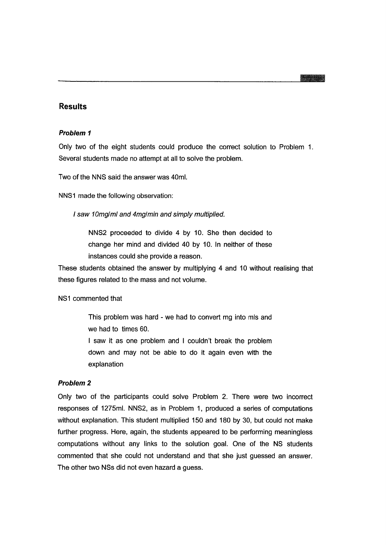#### **Results**

#### **Problem 1**

Only two of the eight students could produce the correct solution to Problem 1. Several students made no attempt at all to solve the problem.

Two of the NNS said the answer was 40ml.

NNS1 made the following observation:

I saw 10mglml and 4mglmin and simply multiplied.

NNS2 proceeded to divide 4 by 10. She then decided to change her mind and divided 40 by 10. In neither of these instances could she provide a reason.

These students obtained the answer by multiplying 4 and 10 without realising that these figures related to the mass and not volume.

#### NS1 commented that

This problem was hard - we had to convert mg into mls and we had to times 60.

I saw it as one problem and I couldn't break the problem down and may not be able to do it again even with the explanation

#### **Problem 2**

Only two of the participants could solve Problem 2. There were two incorrect responses of 1275ml. NNS2, as in Problem 1, produced a series of computations without explanation. This student multiplied 150 and 180 by 30, but could not make further progress. Here, again, the students appeared to be performing meaningless computations without any links to the solution goal. One of the NS students commented that she could not understand and that she just guessed an answer. The other two NSs did not even hazard a guess.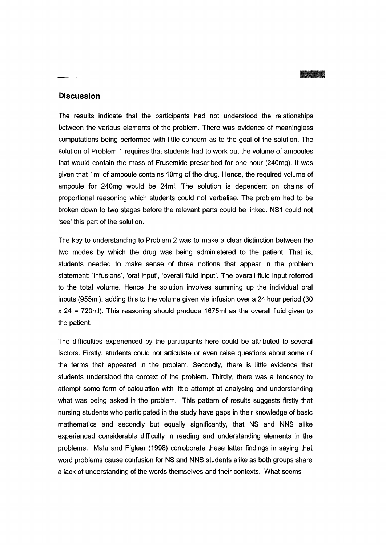#### **Discussion**

The results indicate that the participants had not understood the relationships between the various elements of the problem. There was evidence of meaningless computations being performed with little concern as to the goal of the solution. The solution of Problem 1 requires that students had to work out the volume of ampoules that would contain the mass of Frusemide prescribed for one hour (240mg). **It** was given that 1ml of ampoule contains 10mg of the drug. Hence, the required volume of ampoule for 240mg would be 24m!. The solution is dependent on chains of proportional reasoning which students could not verbalise. The problem had to be broken down to two stages before the relevant parts could be linked. NS1 could not 'see' this part of the solution.

The key to understanding to Problem 2 was to make a clear distinction between the two modes by which the drug was being administered to the patient. That is, students needed to make sense of three notions that appear in the problem statement: 'infusions', 'oral input', 'overall fluid input'. The overall fluid input referred to the total volume. Hence the solution involves summing up the individual oral inputs (955ml), adding this to the volume given via infusion over a 24 hour period (30  $x$  24 = 720ml). This reasoning should produce 1675ml as the overall fluid given to the patient.

The difficulties experienced by the participants here could be attributed to several factors. Firstly, students could not articulate or even raise questions about some of the terms that appeared in the problem. Secondly, there is little evidence that students understood the context of the problem. Thirdly, there was a tendency to attempt some form of calculation with little attempt at analysing and understanding what was being asked in the problem. This pattern of results suggests firstly that nursing students who participated in the study have gaps in their knowledge of basic mathematics and secondly but equally significantly, that NS and NNS alike experienced considerable difficulty in reading and understanding elements in the problems. Malu and Figlear (1998) corroborate these latter findings in saying that word problems cause confusion for NS and NNS students alike as both groups share a lack of understanding of the words themselves and their contexts. What seems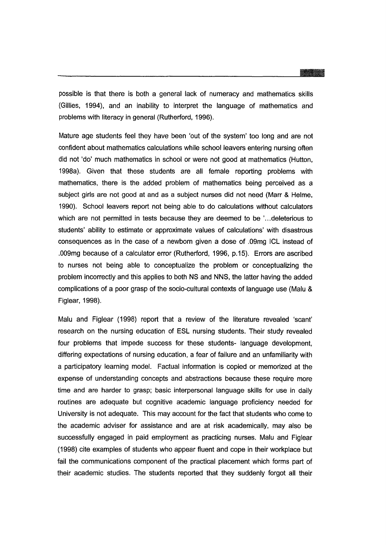possible is that there is both a general lack of numeracy and mathematics skills (Gillies, 1994), and an inability to interpret the language of mathematics and problems with literacy in general (Rutherford, 1996).

Mature age students feel they have been 'out of the system' too long and are not confident about mathematics calculations while school leavers entering nursing often did not 'do' much mathematics in school or were not good at mathematics (Hutton, 1998a). Given that these students are all female reporting problems with mathematics, there is the added problem of mathematics being perceived as a subject girls are not good at and as a subject nurses did not need (Marr & Helme, 1990). School leavers report not being able to do calculations without calculators which are not permitted in tests because they are deemed to be '...deleterious to students' ability to estimate or approximate values of calculations' with disastrous consequences as in the case of a newborn given a dose of .09mg ICL instead of .009mg because of a calculator error (Rutherford, 1996, p.15). Errors are ascribed to nurses not being able to conceptualize the problem or conceptualizing the problem incorrectly and this applies to both NS and NNS, the latter having the added complications of a poor grasp of the socio-cultural contexts of language use (Malu & Figlear, 1998).

Malu and Figlear (1998) report that a review of the literature revealed 'scant' research on the nursing education of ESl nursing students. Their study revealed four problems that impede success for these students- language development, differing expectations of nursing education, a fear of failure and an unfamiliarity with a participatory learning model. Factual information is copied or memorized at the expense of understanding concepts and abstractions because these require more time and are harder to grasp; basic interpersonal language skills for use in daily routines are adequate but cognitive academic language proficiency needed for University is not adequate. This may account for the fact that students who come to the academic adviser for assistance and are at risk academically, may also be successfully engaged in paid employment as practicing nurses. Malu and Figlear (1998) cite examples of students who appear fluent and cope in their workplace but fail the communications component of the practical placement which forms part of their academic studies. The students reported that they suddenly forgot all their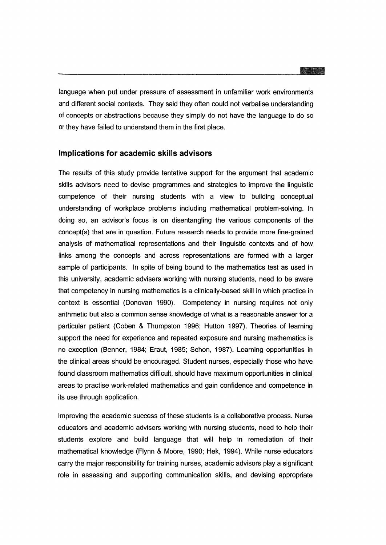----------------------'-

language when put under pressure of assessment in unfamiliar work environments and different social contexts. They said they often could not verbalise understanding of concepts or abstractions because they simply do not have the language to do so or they have failed to understand them in the first place.

#### **Implications for academic skills advisors**

The results of this study provide tentative support for the argument that academic skills advisors need to devise programmes and strategies to improve the linguistic competence of their nursing students with a view to building conceptual understanding of workplace problems including mathematical problem-solving. In doing so, an advisor's focus is on disentangling the various components of the concept(s) that are in question. Future research needs to provide more fine-grained analysis of mathematical representations and their linguistic contexts and of how links among the concepts and across representations are formed with a larger sample of participants. In spite of being bound to the mathematics test as used in this university, academic advisers working with nursing students, need to be aware that competency in nursing mathematics is a clinically-based skill in which practice in context is essential (Donovan 1990). Competency in nursing requires not only arithmetic but also a common sense knowledge of what is a reasonable answer for a particular patient (Coben & Thumpston 1996; Hutton 1997). Theories of learning support the need for experience and repeated exposure and nursing mathematics is no exception (Benner, 1984; Eraut, 1985; Schon, 1987). Learning opportunities in the clinical areas should be encouraged. Student nurses, especially those who have found classroom mathematics difficult, should have maximum opportunities in clinical areas to practise work-related mathematics and gain confidence and competence in its use through application.

Improving the academic success of these students is a collaborative process. Nurse educators and academic advisers working with nursing students, need to help their students explore and build language that will help in remediation of their mathematical knowledge (Flynn & Moore, 1990; Hek, 1994). While nurse educators carry the major responsibility for training nurses, academic advisors playa significant role in assessing and supporting communication skills, and devising appropriate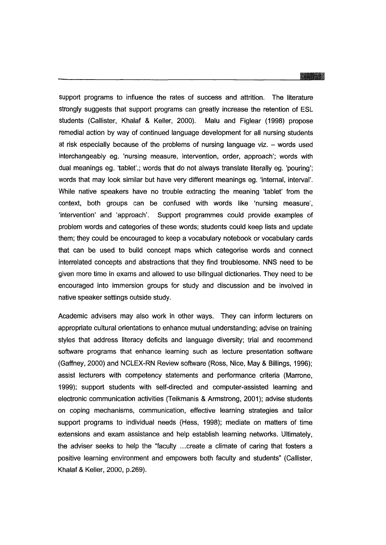# - ----1\_

support programs to influence the rates of success and attrition. The literature strongly suggests that support programs can greatly increase the retention of ESL students (Callister, Khalaf & Keller, 2000). Malu and Figlear (1998) propose remedial action by way of continued language development for all nursing students at risk especially because of the problems of nursing language viz.  $-$  words used interchangeably eg. 'nursing measure, intervention, order, approach'; words with dual meanings eg. 'tablet'.; words that do not always translate literally eg. 'pouring'; words that may look similar but have very different meanings eg. 'internal, interval'. While native speakers have no trouble extracting the meaning 'tablet' from the context, both groups can be confused with words like 'nursing measure', 'intervention' and 'approach'. Support programmes could provide examples of problem words and categories of these words; students could keep lists and update them; they could be encouraged to keep a vocabulary notebook or vocabulary cards that can be used to build concept maps which categorise words and connect interrelated concepts and abstractions that they find troublesome. NNS need to be given more time in exams and allowed to use bilingual dictionaries. They need to be encouraged into immersion groups for study and discussion and be involved in native speaker settings outside study.

Academic advisers may also work in other ways. They can inform lecturers on appropriate cultural orientations to enhance mutual understanding; advise on training styles that address literacy deficits and language diversity; trial and recommend software programs that enhance learning such as lecture presentation software (Gaffney, 2000) and NCLEX-RN Review software (Ross, Nice, May & Billings, 1996); assist lecturers with competency statements and performance criteria (Marrone, 1999); support students with self-directed and computer-assisted learning and electronic communication activities (Teikmanis & Armstrong, 2001); advise students on coping mechanisms, communication, effective learning strategies and tailor support programs to individual needs (Hess, 1998); mediate on matters of time extensions and exam assistance and help establish learning networks. Ultimately, the adviser seeks to help the "faculty ...create a climate of caring that fosters a positive learning environment and empowers both faculty and students" (Callister, Khalaf & Keller, 2000, p.269).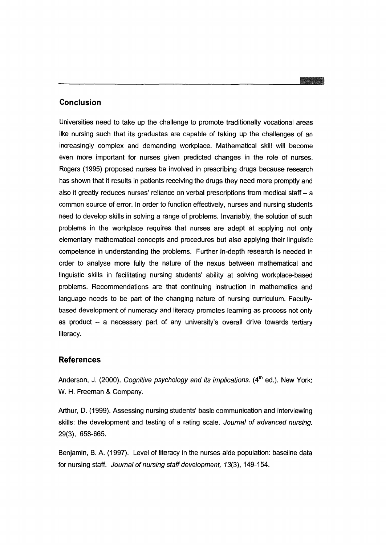#### **Conclusion**

Universities need to take up the challenge to promote traditionally vocational areas like nursing such that its graduates are capable of taking up the challenges of an increasingly complex and demanding workplace. Mathematical skill will become even more important for nurses given predicted changes in the role of nurses. Rogers (1995) proposed nurses be involved in prescribing drugs because research has shown that it results in patients receiving the drugs they need more promptly and also it greatly reduces nurses' reliance on verbal prescriptions from medical staff - a common source of error. In order to function effectively, nurses and nursing students need to develop skills in solving a range of problems. Invariably, the solution of such problems in the workplace requires that nurses are adept at applying not only elementary mathematical concepts and procedures but also applying their linguistic competence in understanding the problems. Further in-depth research is needed in order to analyse more fully the nature of the nexus between mathematical and linguistic skills in facilitating nursing students' ability at solving workplace-based problems. Recommendations are that continuing instruction in mathematics and language needs to be part of the changing nature of nursing curriculum. Facultybased development of numeracy and literacy promotes learning as process not only as product  $-$  a necessary part of any university's overall drive towards tertiary literacy.

#### **References**

Anderson, J. (2000). Cognitive psychology and its implications.  $(4<sup>th</sup>$  ed.). New York: W. H. Freeman & Company.

Arthur, D. (1999). Assessing nursing students' basic communication and interviewing skills: the development and testing of a rating scale. Journal of advanced nursing. 29(3), 658-665.

Benjamin. B. A. (1997). Level of literacy in the nurses aide population: baseline data for nursing staff. Journal of nursing staff development, 13(3), 149-154.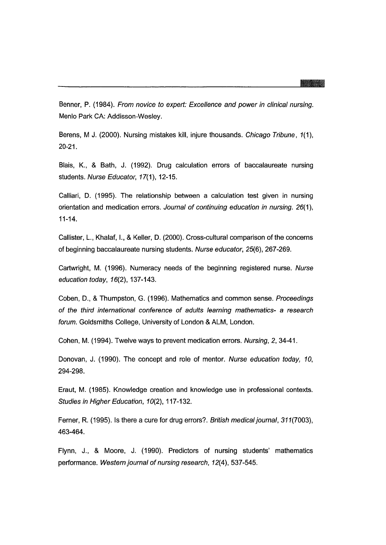Benner, P. (1984). From novice to expert: Excellence and power in clinical nursing. Menlo Park CA: Addisson-Wesley.

Berens, M J. (2000). Nursing mistakes kill, injure thousands. Chicago Tribune, 1(1), 20-21.

Blais, K., & Bath, J. (1992). Drug calculation errors of baccalaureate nursing students. Nurse Educator, 17(1), 12-15.

Calliari, D. (1995). The relationship between a calculation test given in nursing orientation and medication errors. Journal of continuing education in nursing. 26(1), 11-14.

Callister, L., Khalaf, I., & Keller, D. (2000). Cross-cultural comparison of the concerns of beginning baccalaureate nursing students. Nurse educator, 25(6),267-269.

Cartwright, M. (1996). Numeracy needs of the beginning registered nurse. Nurse education today, 16(2), 137-143.

Coben, D., & Thumpston, G. (1996). Mathematics and common sense. Proceedings of the third international conference of adults learning mathematics- a research forum. Goldsmiths College, University of London & ALM, London.

Cohen, M. (1994). Twelve ways to prevent medication errors. Nursing, 2, 34-41.

Donovan, J. (1990). The concept and role of mentor. Nurse education today, 10, 294-298.

Eraut, M. (1985). Knowledge creation and knowledge use in professional contexts. Studies in Higher Education, 10(2), 117-132.

Ferner, R. (1995). Is there a cure for drug errors?. British medical journal, 311(7003), 463-464.

Flynn, J., & Moore, J. (1990). Predictors of nursing students' mathematics performance. Western journal of nursing research, 12(4), 537-545.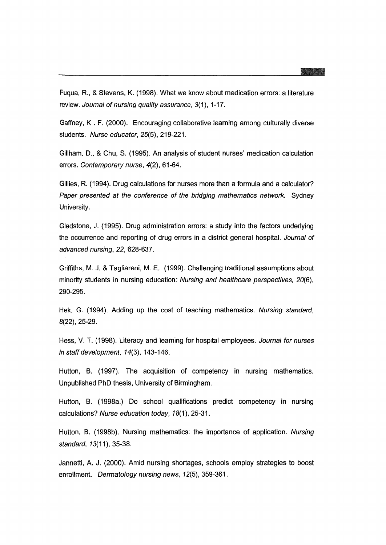Fuqua, R, & Stevens, K. (1998). What we know about medication errors: a literature review. Journal of nursing quality assurance, 3(1), 1-17.

Gaffney, K . F. (2000). Encouraging collaborative learning among culturally diverse students. Nurse educator, 25(5), 219-221.

Gillham, D., & Chu, S. (1995). An analysis of student nurses' medication calculation errors. Contemporary nurse, 4(2), 61-64.

Gillies, R (1994). Drug calculations for nurses more than a formula and a calculator? Paper presented at the conference of the bridging mathematics network. Sydney University.

Gladstone, J. (1995). Drug administration errors: a study into the factors underlying the occurrence and reporting of drug errors in a district general hospital. Journal of advanced nursing, 22, 628-637.

Griffiths, M. J. & Tagliareni, M. E. (1999). Challenging traditional assumptions about minority students in nursing education: Nursing and healthcare perspectives, 20(6), 290-295.

Hek, G. (1994). Adding up the cost of teaching mathematics. Nursing standard, 8(22), 25-29.

Hess, V. T. (1998). Literacy and learning for hospital employees. Journal for nurses in staff development,  $14(3)$ , 143-146.

Hutton, B. (1997). The acquisition of competency in nursing mathematics. Unpublished PhD thesis, University of Birmingham.

Hutton, B. (1998a.) Do school qualifications predict competency in nursing calculations? Nurse education today, 18(1), 25-31.

Hutton, B. (1998b). Nursing mathematics: the importance of application. Nursing standard, 13(11), 35-38.

Jannetti, A. J. (2000). Amid nursing shortages, schools employ strategies to boost enrollment. Dermatology nursing news, 12(5),359-361.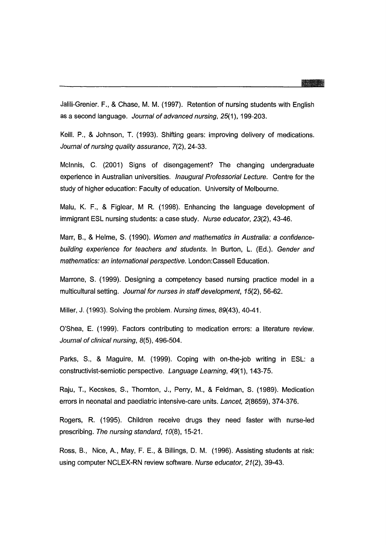Jalili-Grenier. F., & Chase, M. M. (1997). Retention of nursing students with English as a second language. Journal of advanced nursing, 25(1), 199-203.

Keill. P., & Johnson, T. (1993). Shifting gears: improving delivery of medications. Journal of nursing quality assurance, 7(2), 24-33.

Mcinnis, C. (2001) Signs of disengagement? The changing undergraduate experience in Australian universities. Inaugural Professorial Lecture. Centre for the study of higher education: Faculty of education. University of Melbourne.

Malu, K. F., & Figlear, M R. (1998). Enhancing the language development of immigrant ESL nursing students: a case study. Nurse educator, 23(2), 43-46.

Marr, B., & Helme, S. (1990). Women and mathematics in Australia: a confidencebuilding experience for teachers and students. In Burton, L. (Ed.). Gender and mathematics: an international perspective. London:Cassell Education.

Marrone, S. (1999). Designing a competency based nursing practice model in a multicultural setting. Journal for nurses in staff development, 15(2), 56-62.

Miller, J. (1993). Solving the problem. Nursing times, 89(43), 40-41.

O'Shea, E. (1999). Factors contributing to medication errors: a literature review. Journal of clinical nursing, 8(5), 496-504.

Parks, S., & Maguire, M. (1999). Coping with on-the-job writing in ESL: a constructivist-semiotic perspective. Language Learning, 49(1), 143-75.

Raju, T., Kecskes, S., Thornton, J., Perry, M., & Feldman, S. (1989). Medication errors in neonatal and paediatric intensive-care units. Lancet, 2(8659), 374-376.

Rogers, R. (1995). Children receive drugs they need faster with nurse-led prescribing. The nursing standard, 10(8), 15-21.

Ross, B., Nice, A., May, F. E., & Billings, D. M. (1996). Assisting students at risk: using computer NCLEX-RN review software. Nurse educator, 21(2), 39-43.